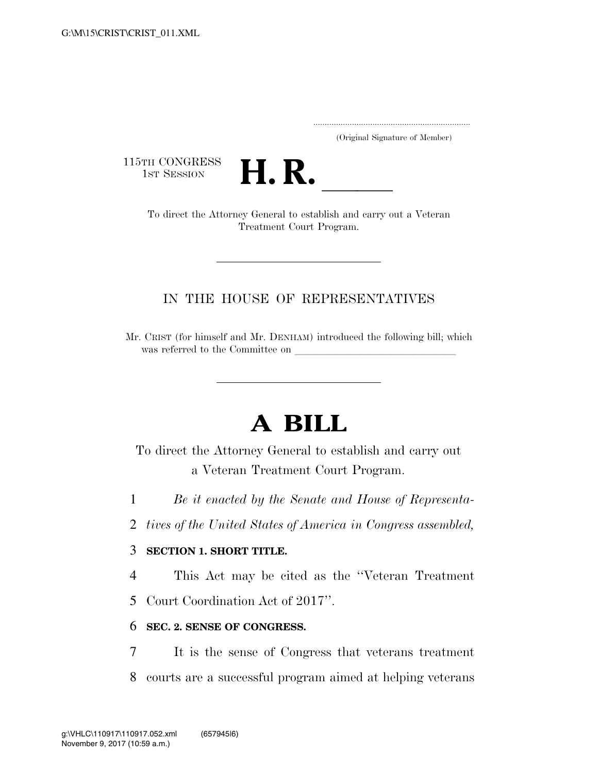..................................................................... (Original Signature of Member)

115TH CONGRESS<br>1st Session



TH CONGRESS<br>1st Session **H. R.** <u>Indicated to establish and carry out a Veteran</u> Treatment Court Program.

## IN THE HOUSE OF REPRESENTATIVES

Mr. CRIST (for himself and Mr. DENHAM) introduced the following bill; which was referred to the Committee on

# **A BILL**

To direct the Attorney General to establish and carry out a Veteran Treatment Court Program.

1 *Be it enacted by the Senate and House of Representa-*

2 *tives of the United States of America in Congress assembled,* 

### 3 **SECTION 1. SHORT TITLE.**

4 This Act may be cited as the ''Veteran Treatment

5 Court Coordination Act of 2017''.

### 6 **SEC. 2. SENSE OF CONGRESS.**

7 It is the sense of Congress that veterans treatment

8 courts are a successful program aimed at helping veterans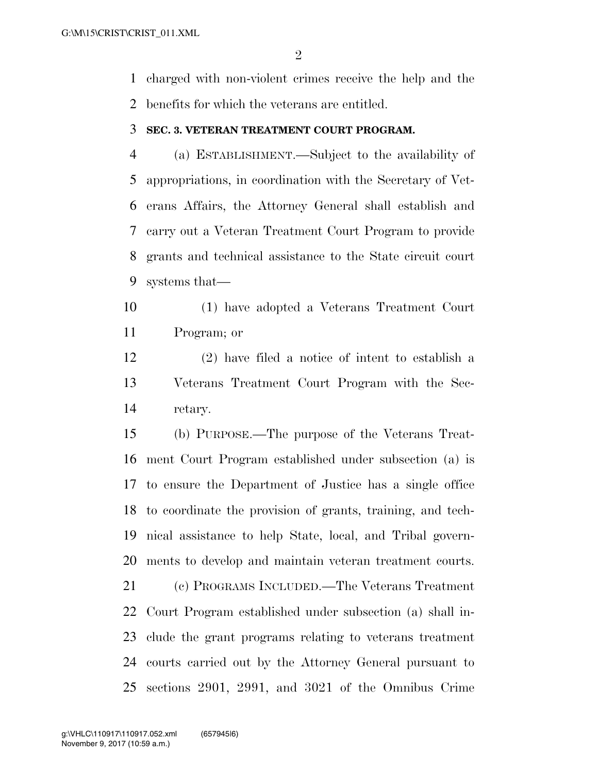charged with non-violent crimes receive the help and the benefits for which the veterans are entitled.

#### **SEC. 3. VETERAN TREATMENT COURT PROGRAM.**

 (a) ESTABLISHMENT.—Subject to the availability of appropriations, in coordination with the Secretary of Vet- erans Affairs, the Attorney General shall establish and carry out a Veteran Treatment Court Program to provide grants and technical assistance to the State circuit court systems that—

 (1) have adopted a Veterans Treatment Court Program; or

 (2) have filed a notice of intent to establish a Veterans Treatment Court Program with the Sec-retary.

 (b) PURPOSE.—The purpose of the Veterans Treat- ment Court Program established under subsection (a) is to ensure the Department of Justice has a single office to coordinate the provision of grants, training, and tech- nical assistance to help State, local, and Tribal govern-ments to develop and maintain veteran treatment courts.

 (c) PROGRAMS INCLUDED.—The Veterans Treatment Court Program established under subsection (a) shall in- clude the grant programs relating to veterans treatment courts carried out by the Attorney General pursuant to sections 2901, 2991, and 3021 of the Omnibus Crime